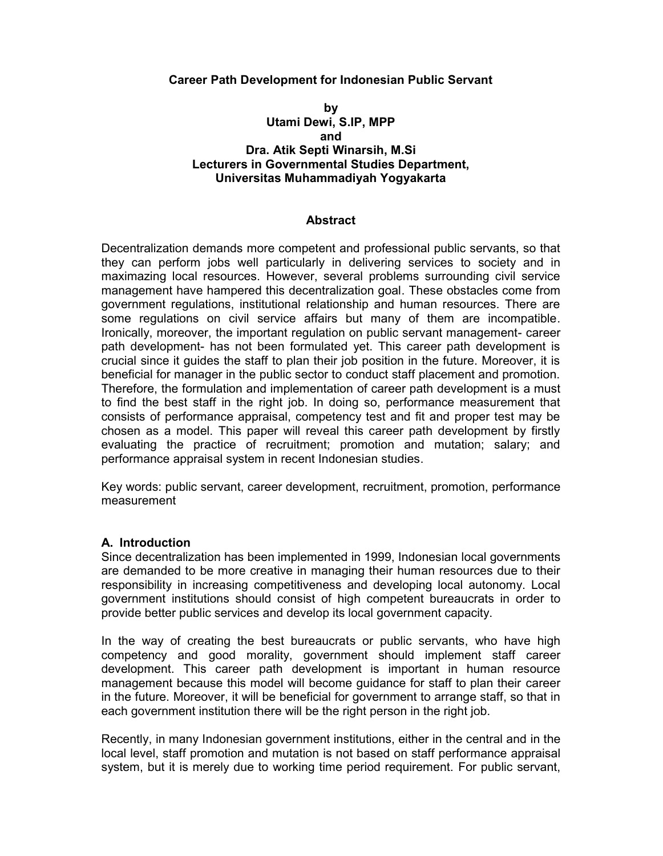### **Career Path Development for Indonesian Public Servant**

## **by Utami Dewi, S.IP, MPP and Dra. Atik Septi Winarsih, M.Si Lecturers in Governmental Studies Department, Universitas Muhammadiyah Yogyakarta**

### **Abstract**

Decentralization demands more competent and professional public servants, so that they can perform jobs well particularly in delivering services to society and in maximazing local resources. However, several problems surrounding civil service management have hampered this decentralization goal. These obstacles come from government regulations, institutional relationship and human resources. There are some regulations on civil service affairs but many of them are incompatible. Ironically, moreover, the important regulation on public servant management- career path development- has not been formulated yet. This career path development is crucial since it guides the staff to plan their job position in the future. Moreover, it is beneficial for manager in the public sector to conduct staff placement and promotion. Therefore, the formulation and implementation of career path development is a must to find the best staff in the right job. In doing so, performance measurement that consists of performance appraisal, competency test and fit and proper test may be chosen as a model. This paper will reveal this career path development by firstly evaluating the practice of recruitment; promotion and mutation; salary; and performance appraisal system in recent Indonesian studies.

Key words: public servant, career development, recruitment, promotion, performance measurement

### **A. Introduction**

Since decentralization has been implemented in 1999, Indonesian local governments are demanded to be more creative in managing their human resources due to their responsibility in increasing competitiveness and developing local autonomy. Local government institutions should consist of high competent bureaucrats in order to provide better public services and develop its local government capacity.

In the way of creating the best bureaucrats or public servants, who have high competency and good morality, government should implement staff career development. This career path development is important in human resource management because this model will become guidance for staff to plan their career in the future. Moreover, it will be beneficial for government to arrange staff, so that in each government institution there will be the right person in the right job.

Recently, in many Indonesian government institutions, either in the central and in the local level, staff promotion and mutation is not based on staff performance appraisal system, but it is merely due to working time period requirement. For public servant,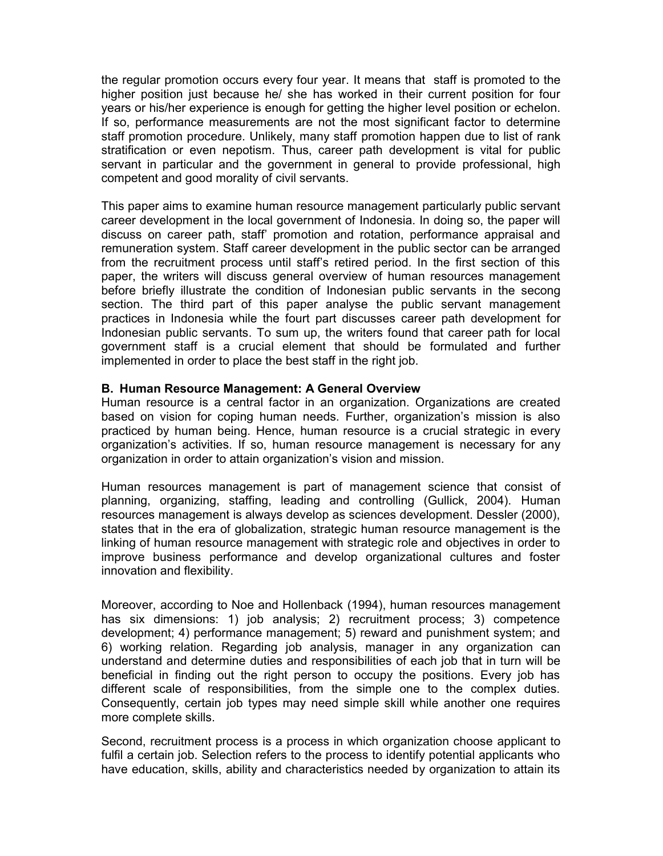the regular promotion occurs every four year. It means that staff is promoted to the higher position just because he/ she has worked in their current position for four years or his/her experience is enough for getting the higher level position or echelon. If so, performance measurements are not the most significant factor to determine staff promotion procedure. Unlikely, many staff promotion happen due to list of rank stratification or even nepotism. Thus, career path development is vital for public servant in particular and the government in general to provide professional, high competent and good morality of civil servants.

This paper aims to examine human resource management particularly public servant career development in the local government of Indonesia. In doing so, the paper will discuss on career path, staff' promotion and rotation, performance appraisal and remuneration system. Staff career development in the public sector can be arranged from the recruitment process until staff's retired period. In the first section of this paper, the writers will discuss general overview of human resources management before briefly illustrate the condition of Indonesian public servants in the secong section. The third part of this paper analyse the public servant management practices in Indonesia while the fourt part discusses career path development for Indonesian public servants. To sum up, the writers found that career path for local government staff is a crucial element that should be formulated and further implemented in order to place the best staff in the right job.

## **B. Human Resource Management: A General Overview**

Human resource is a central factor in an organization. Organizations are created based on vision for coping human needs. Further, organization's mission is also practiced by human being. Hence, human resource is a crucial strategic in every organization's activities. If so, human resource management is necessary for any organization in order to attain organization's vision and mission.

Human resources management is part of management science that consist of planning, organizing, staffing, leading and controlling (Gullick, 2004). Human resources management is always develop as sciences development. Dessler (2000), states that in the era of globalization, strategic human resource management is the linking of human resource management with strategic role and objectives in order to improve business performance and develop organizational cultures and foster innovation and flexibility.

Moreover, according to Noe and Hollenback (1994), human resources management has six dimensions: 1) job analysis; 2) recruitment process; 3) competence development; 4) performance management; 5) reward and punishment system; and 6) working relation. Regarding job analysis, manager in any organization can understand and determine duties and responsibilities of each job that in turn will be beneficial in finding out the right person to occupy the positions. Every job has different scale of responsibilities, from the simple one to the complex duties. Consequently, certain job types may need simple skill while another one requires more complete skills.

Second, recruitment process is a process in which organization choose applicant to fulfil a certain job. Selection refers to the process to identify potential applicants who have education, skills, ability and characteristics needed by organization to attain its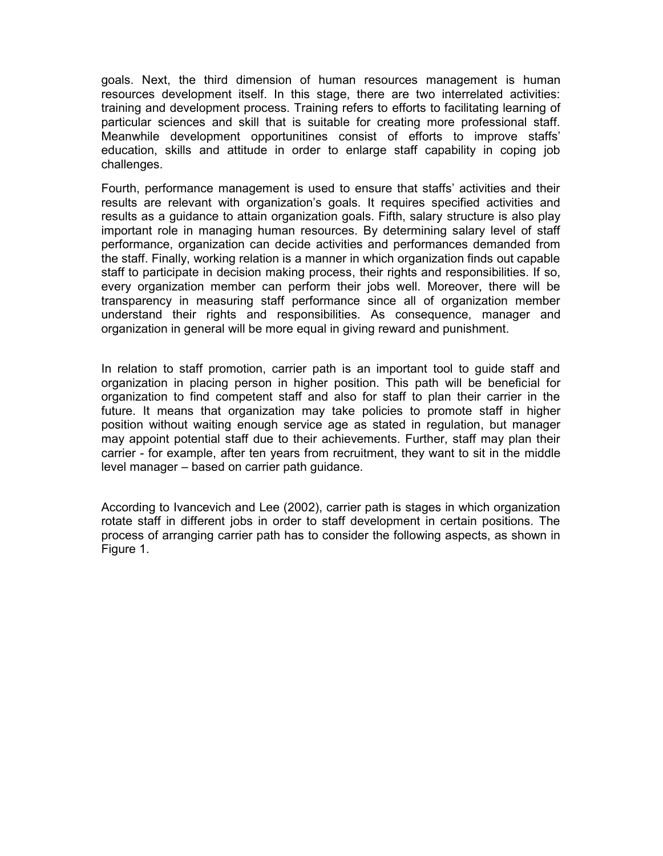goals. Next, the third dimension of human resources management is human resources development itself. In this stage, there are two interrelated activities: training and development process. Training refers to efforts to facilitating learning of particular sciences and skill that is suitable for creating more professional staff. Meanwhile development opportunitines consist of efforts to improve staffs' education, skills and attitude in order to enlarge staff capability in coping job challenges.

Fourth, performance management is used to ensure that staffs' activities and their results are relevant with organization's goals. It requires specified activities and results as a guidance to attain organization goals. Fifth, salary structure is also play important role in managing human resources. By determining salary level of staff performance, organization can decide activities and performances demanded from the staff. Finally, working relation is a manner in which organization finds out capable staff to participate in decision making process, their rights and responsibilities. If so, every organization member can perform their jobs well. Moreover, there will be transparency in measuring staff performance since all of organization member understand their rights and responsibilities. As consequence, manager and organization in general will be more equal in giving reward and punishment.

In relation to staff promotion, carrier path is an important tool to guide staff and organization in placing person in higher position. This path will be beneficial for organization to find competent staff and also for staff to plan their carrier in the future. It means that organization may take policies to promote staff in higher position without waiting enough service age as stated in regulation, but manager may appoint potential staff due to their achievements. Further, staff may plan their carrier - for example, after ten years from recruitment, they want to sit in the middle level manager – based on carrier path guidance.

According to Ivancevich and Lee (2002), carrier path is stages in which organization rotate staff in different jobs in order to staff development in certain positions. The process of arranging carrier path has to consider the following aspects, as shown in Figure 1.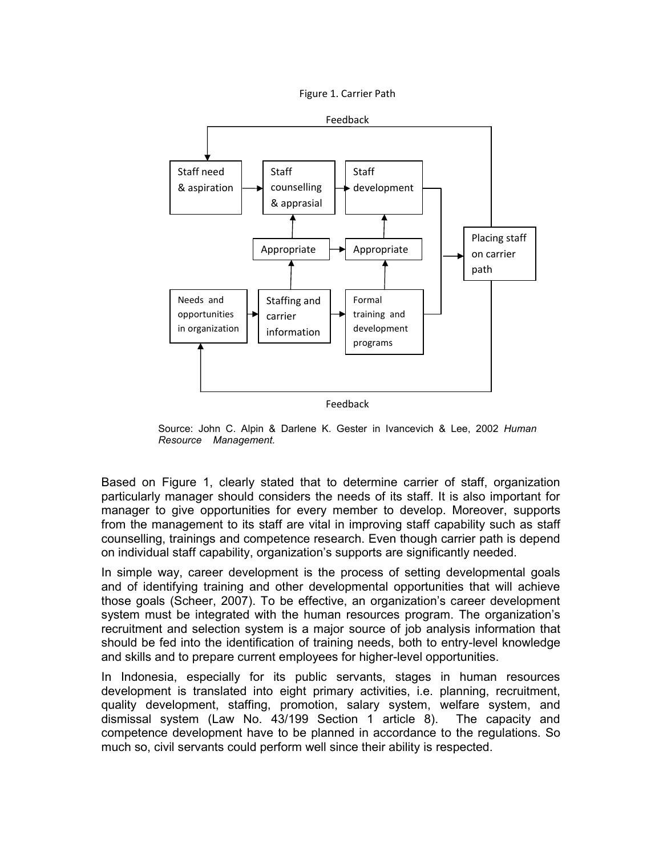Figure 1. Carrier Path



Feedback

Source: John C. Alpin & Darlene K. Gester in Ivancevich & Lee, 2002 *Human Resource Management.*

Based on Figure 1, clearly stated that to determine carrier of staff, organization particularly manager should considers the needs of its staff. It is also important for manager to give opportunities for every member to develop. Moreover, supports from the management to its staff are vital in improving staff capability such as staff counselling, trainings and competence research. Even though carrier path is depend on individual staff capability, organization's supports are significantly needed.

In simple way, career development is the process of setting developmental goals and of identifying training and other developmental opportunities that will achieve those goals (Scheer, 2007). To be effective, an organization's career development system must be integrated with the human resources program. The organization's recruitment and selection system is a major source of job analysis information that should be fed into the identification of training needs, both to entry-level knowledge and skills and to prepare current employees for higher-level opportunities.

In Indonesia, especially for its public servants, stages in human resources development is translated into eight primary activities, i.e. planning, recruitment, quality development, staffing, promotion, salary system, welfare system, and dismissal system (Law No. 43/199 Section 1 article 8). The capacity and competence development have to be planned in accordance to the regulations. So much so, civil servants could perform well since their ability is respected.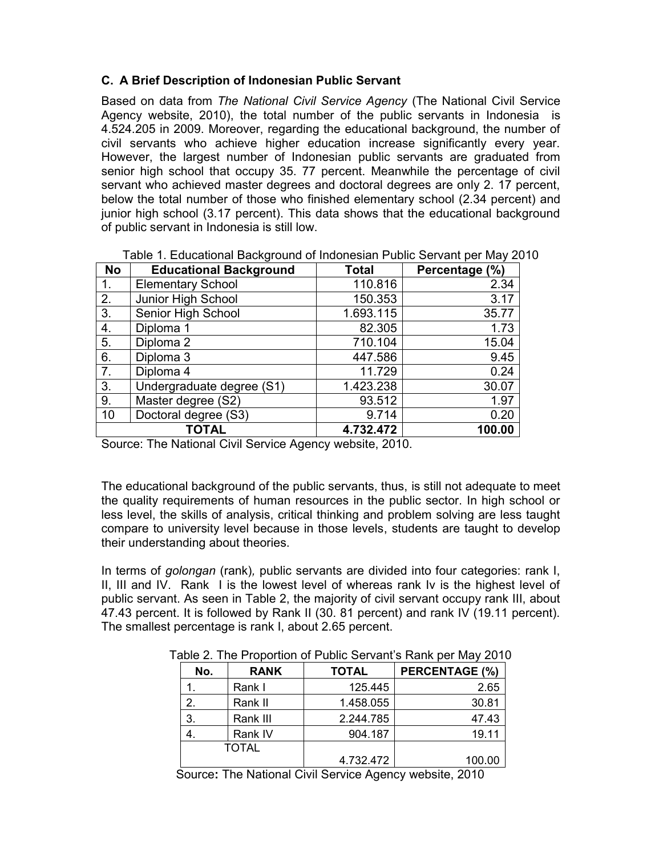# **C. A Brief Description of Indonesian Public Servant**

Based on data from *The National Civil Service Agency* (The National Civil Service Agency website, 2010), the total number of the public servants in Indonesia is 4.524.205 in 2009. Moreover, regarding the educational background, the number of civil servants who achieve higher education increase significantly every year. However, the largest number of Indonesian public servants are graduated from senior high school that occupy 35. 77 percent. Meanwhile the percentage of civil servant who achieved master degrees and doctoral degrees are only 2. 17 percent, below the total number of those who finished elementary school (2.34 percent) and junior high school (3.17 percent). This data shows that the educational background of public servant in Indonesia is still low.

| <b>No</b>    | <b>Educational Background</b> | <b>Total</b> | Percentage (%) |
|--------------|-------------------------------|--------------|----------------|
| 1.           | <b>Elementary School</b>      | 110.816      | 2.34           |
| 2.           | Junior High School            | 150.353      | 3.17           |
| 3.           | Senior High School            | 1.693.115    | 35.77          |
| 4.           | Diploma 1                     | 82.305       | 1.73           |
| 5.           | Diploma 2                     | 710.104      | 15.04          |
| 6.           | Diploma 3                     | 447.586      | 9.45           |
| 7.           | Diploma 4                     | 11.729       | 0.24           |
| 3.           | Undergraduate degree (S1)     | 1.423.238    | 30.07          |
| 9.           | Master degree (S2)            | 93.512       | 1.97           |
| 10           | Doctoral degree (S3)          | 9.714        | 0.20           |
| <b>TOTAL</b> |                               | 4.732.472    | 100.00         |

Table 1. Educational Background of Indonesian Public Servant per May 2010

Source: The National Civil Service Agency website, 2010.

The educational background of the public servants, thus, is still not adequate to meet the quality requirements of human resources in the public sector. In high school or less level, the skills of analysis, critical thinking and problem solving are less taught compare to university level because in those levels, students are taught to develop their understanding about theories.

In terms of *golongan* (rank)*,* public servants are divided into four categories: rank I, II, III and IV. Rank I is the lowest level of whereas rank Iv is the highest level of public servant. As seen in Table 2, the majority of civil servant occupy rank III, about 47.43 percent. It is followed by Rank II (30. 81 percent) and rank IV (19.11 percent). The smallest percentage is rank I, about 2.65 percent.

| No.          | <b>RANK</b> | <b>TOTAL</b> | PERCENTAGE (%) |
|--------------|-------------|--------------|----------------|
|              | Rank I      | 125.445      | 2.65           |
| 2.           | Rank II     | 1.458.055    | 30.81          |
| 3.           | Rank III    | 2.244.785    | 47.43          |
|              | Rank IV     | 904.187      | 19.11          |
| <b>TOTAL</b> |             |              |                |
|              |             | 4.732.472    | 100.00         |

Table 2. The Proportion of Public Servant's Rank per May 2010

Source**:** The National Civil Service Agency website, 2010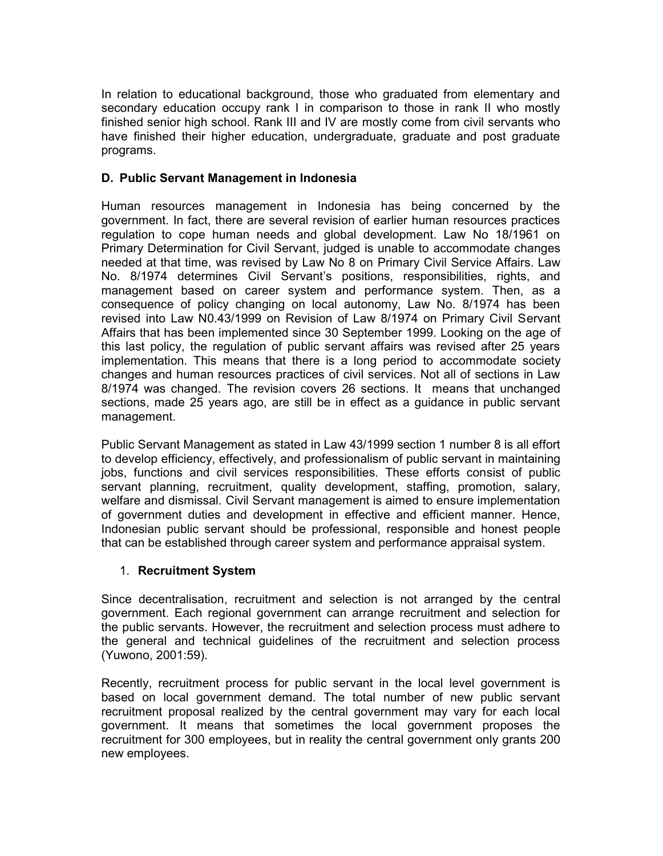In relation to educational background, those who graduated from elementary and secondary education occupy rank I in comparison to those in rank II who mostly finished senior high school. Rank III and IV are mostly come from civil servants who have finished their higher education, undergraduate, graduate and post graduate programs.

# **D. Public Servant Management in Indonesia**

Human resources management in Indonesia has being concerned by the government. In fact, there are several revision of earlier human resources practices regulation to cope human needs and global development. Law No 18/1961 on Primary Determination for Civil Servant, judged is unable to accommodate changes needed at that time, was revised by Law No 8 on Primary Civil Service Affairs. Law No. 8/1974 determines Civil Servant's positions, responsibilities, rights, and management based on career system and performance system. Then, as a consequence of policy changing on local autonomy, Law No. 8/1974 has been revised into Law N0.43/1999 on Revision of Law 8/1974 on Primary Civil Servant Affairs that has been implemented since 30 September 1999. Looking on the age of this last policy, the regulation of public servant affairs was revised after 25 years implementation. This means that there is a long period to accommodate society changes and human resources practices of civil services. Not all of sections in Law 8/1974 was changed. The revision covers 26 sections. It means that unchanged sections, made 25 years ago, are still be in effect as a guidance in public servant management.

Public Servant Management as stated in Law 43/1999 section 1 number 8 is all effort to develop efficiency, effectively, and professionalism of public servant in maintaining iobs, functions and civil services responsibilities. These efforts consist of public servant planning, recruitment, quality development, staffing, promotion, salary, welfare and dismissal. Civil Servant management is aimed to ensure implementation of government duties and development in effective and efficient manner. Hence, Indonesian public servant should be professional, responsible and honest people that can be established through career system and performance appraisal system.

## 1. **Recruitment System**

Since decentralisation, recruitment and selection is not arranged by the central government. Each regional government can arrange recruitment and selection for the public servants. However, the recruitment and selection process must adhere to the general and technical guidelines of the recruitment and selection process (Yuwono, 2001:59).

Recently, recruitment process for public servant in the local level government is based on local government demand. The total number of new public servant recruitment proposal realized by the central government may vary for each local government. It means that sometimes the local government proposes the recruitment for 300 employees, but in reality the central government only grants 200 new employees.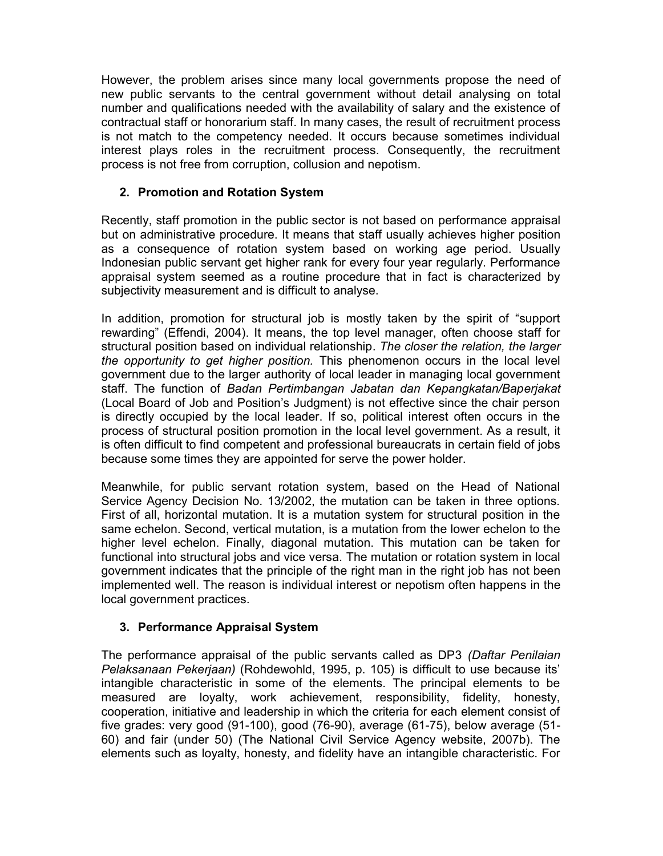However, the problem arises since many local governments propose the need of new public servants to the central government without detail analysing on total number and qualifications needed with the availability of salary and the existence of contractual staff or honorarium staff. In many cases, the result of recruitment process is not match to the competency needed. It occurs because sometimes individual interest plays roles in the recruitment process. Consequently, the recruitment process is not free from corruption, collusion and nepotism.

# **2. Promotion and Rotation System**

Recently, staff promotion in the public sector is not based on performance appraisal but on administrative procedure. It means that staff usually achieves higher position as a consequence of rotation system based on working age period. Usually Indonesian public servant get higher rank for every four year regularly. Performance appraisal system seemed as a routine procedure that in fact is characterized by subjectivity measurement and is difficult to analyse.

In addition, promotion for structural job is mostly taken by the spirit of "support rewarding" (Effendi, 2004). It means, the top level manager, often choose staff for structural position based on individual relationship. *The closer the relation, the larger the opportunity to get higher position.* This phenomenon occurs in the local level government due to the larger authority of local leader in managing local government staff. The function of *Badan Pertimbangan Jabatan dan Kepangkatan/Baperjakat* (Local Board of Job and Position's Judgment) is not effective since the chair person is directly occupied by the local leader. If so, political interest often occurs in the process of structural position promotion in the local level government. As a result, it is often difficult to find competent and professional bureaucrats in certain field of jobs because some times they are appointed for serve the power holder.

Meanwhile, for public servant rotation system, based on the Head of National Service Agency Decision No. 13/2002, the mutation can be taken in three options. First of all, horizontal mutation. It is a mutation system for structural position in the same echelon. Second, vertical mutation, is a mutation from the lower echelon to the higher level echelon. Finally, diagonal mutation. This mutation can be taken for functional into structural jobs and vice versa. The mutation or rotation system in local government indicates that the principle of the right man in the right job has not been implemented well. The reason is individual interest or nepotism often happens in the local government practices.

# **3. Performance Appraisal System**

The performance appraisal of the public servants called as DP3 *(Daftar Penilaian Pelaksanaan Pekerjaan)* (Rohdewohld, 1995, p. 105) is difficult to use because its' intangible characteristic in some of the elements. The principal elements to be measured are loyalty, work achievement, responsibility, fidelity, honesty, cooperation, initiative and leadership in which the criteria for each element consist of five grades: very good (91-100), good (76-90), average (61-75), below average (51- 60) and fair (under 50) (The National Civil Service Agency website, 2007b). The elements such as loyalty, honesty, and fidelity have an intangible characteristic. For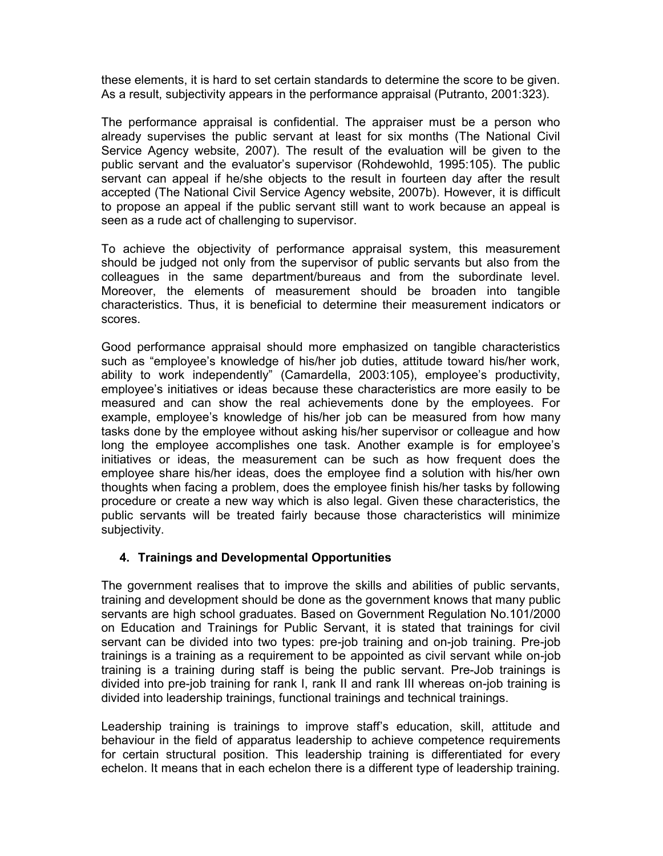these elements, it is hard to set certain standards to determine the score to be given. As a result, subjectivity appears in the performance appraisal (Putranto, 2001:323).

The performance appraisal is confidential. The appraiser must be a person who already supervises the public servant at least for six months (The National Civil Service Agency website, 2007). The result of the evaluation will be given to the public servant and the evaluator's supervisor (Rohdewohld, 1995:105). The public servant can appeal if he/she objects to the result in fourteen day after the result accepted (The National Civil Service Agency website, 2007b). However, it is difficult to propose an appeal if the public servant still want to work because an appeal is seen as a rude act of challenging to supervisor.

To achieve the objectivity of performance appraisal system, this measurement should be judged not only from the supervisor of public servants but also from the colleagues in the same department/bureaus and from the subordinate level. Moreover, the elements of measurement should be broaden into tangible characteristics. Thus, it is beneficial to determine their measurement indicators or scores.

Good performance appraisal should more emphasized on tangible characteristics such as "employee's knowledge of his/her job duties, attitude toward his/her work, ability to work independently" (Camardella, 2003:105), employee's productivity, employee's initiatives or ideas because these characteristics are more easily to be measured and can show the real achievements done by the employees. For example, employee's knowledge of his/her job can be measured from how many tasks done by the employee without asking his/her supervisor or colleague and how long the employee accomplishes one task. Another example is for employee's initiatives or ideas, the measurement can be such as how frequent does the employee share his/her ideas, does the employee find a solution with his/her own thoughts when facing a problem, does the employee finish his/her tasks by following procedure or create a new way which is also legal. Given these characteristics, the public servants will be treated fairly because those characteristics will minimize subjectivity.

# **4. Trainings and Developmental Opportunities**

The government realises that to improve the skills and abilities of public servants, training and development should be done as the government knows that many public servants are high school graduates. Based on Government Regulation No.101/2000 on Education and Trainings for Public Servant, it is stated that trainings for civil servant can be divided into two types: pre-job training and on-job training. Pre-job trainings is a training as a requirement to be appointed as civil servant while on-job training is a training during staff is being the public servant. Pre-Job trainings is divided into pre-job training for rank I, rank II and rank III whereas on-job training is divided into leadership trainings, functional trainings and technical trainings.

Leadership training is trainings to improve staff's education, skill, attitude and behaviour in the field of apparatus leadership to achieve competence requirements for certain structural position. This leadership training is differentiated for every echelon. It means that in each echelon there is a different type of leadership training.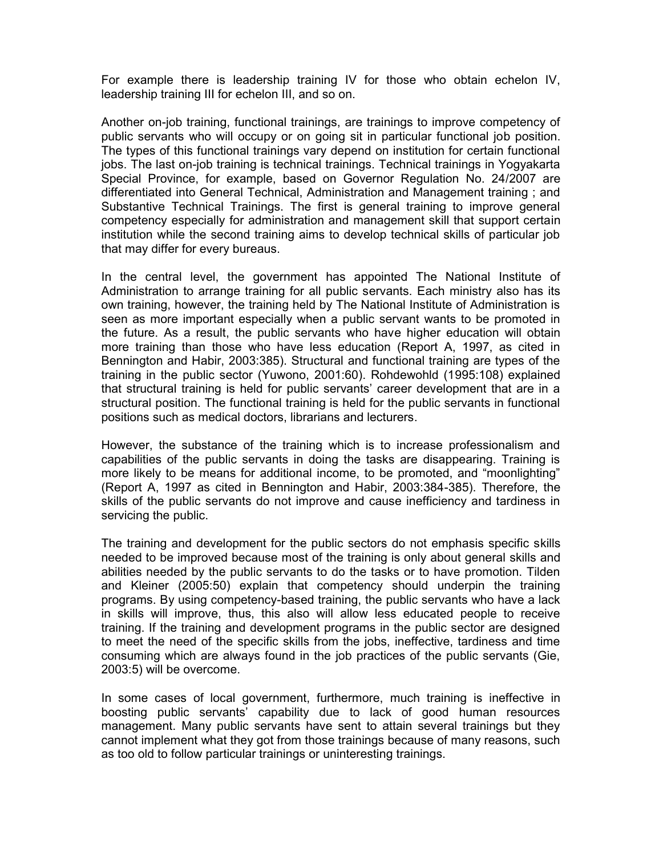For example there is leadership training IV for those who obtain echelon IV, leadership training III for echelon III, and so on.

Another on-job training, functional trainings, are trainings to improve competency of public servants who will occupy or on going sit in particular functional job position. The types of this functional trainings vary depend on institution for certain functional jobs. The last on-job training is technical trainings. Technical trainings in Yogyakarta Special Province, for example, based on Governor Regulation No. 24/2007 are differentiated into General Technical, Administration and Management training ; and Substantive Technical Trainings. The first is general training to improve general competency especially for administration and management skill that support certain institution while the second training aims to develop technical skills of particular job that may differ for every bureaus.

In the central level, the government has appointed The National Institute of Administration to arrange training for all public servants. Each ministry also has its own training, however, the training held by The National Institute of Administration is seen as more important especially when a public servant wants to be promoted in the future. As a result, the public servants who have higher education will obtain more training than those who have less education (Report A, 1997, as cited in Bennington and Habir, 2003:385). Structural and functional training are types of the training in the public sector (Yuwono, 2001:60). Rohdewohld (1995:108) explained that structural training is held for public servants' career development that are in a structural position. The functional training is held for the public servants in functional positions such as medical doctors, librarians and lecturers.

However, the substance of the training which is to increase professionalism and capabilities of the public servants in doing the tasks are disappearing. Training is more likely to be means for additional income, to be promoted, and "moonlighting" (Report A, 1997 as cited in Bennington and Habir, 2003:384-385). Therefore, the skills of the public servants do not improve and cause inefficiency and tardiness in servicing the public.

The training and development for the public sectors do not emphasis specific skills needed to be improved because most of the training is only about general skills and abilities needed by the public servants to do the tasks or to have promotion. Tilden and Kleiner (2005:50) explain that competency should underpin the training programs. By using competency-based training, the public servants who have a lack in skills will improve, thus, this also will allow less educated people to receive training. If the training and development programs in the public sector are designed to meet the need of the specific skills from the jobs, ineffective, tardiness and time consuming which are always found in the job practices of the public servants (Gie, 2003:5) will be overcome.

In some cases of local government, furthermore, much training is ineffective in boosting public servants' capability due to lack of good human resources management. Many public servants have sent to attain several trainings but they cannot implement what they got from those trainings because of many reasons, such as too old to follow particular trainings or uninteresting trainings.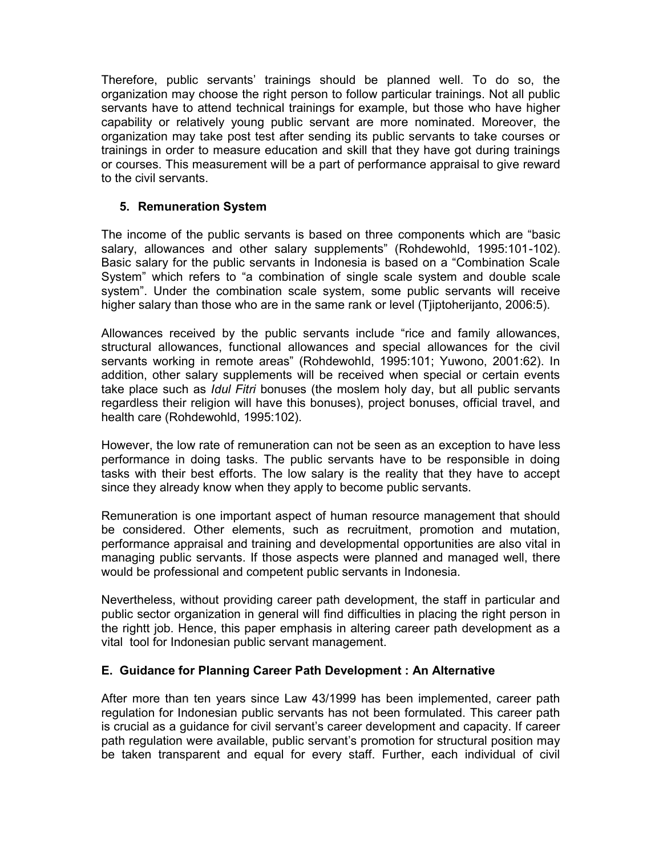Therefore, public servants' trainings should be planned well. To do so, the organization may choose the right person to follow particular trainings. Not all public servants have to attend technical trainings for example, but those who have higher capability or relatively young public servant are more nominated. Moreover, the organization may take post test after sending its public servants to take courses or trainings in order to measure education and skill that they have got during trainings or courses. This measurement will be a part of performance appraisal to give reward to the civil servants.

# **5. Remuneration System**

The income of the public servants is based on three components which are "basic salary, allowances and other salary supplements" (Rohdewohld, 1995:101-102). Basic salary for the public servants in Indonesia is based on a "Combination Scale System" which refers to "a combination of single scale system and double scale system". Under the combination scale system, some public servants will receive higher salary than those who are in the same rank or level (Tjiptoherijanto, 2006:5).

Allowances received by the public servants include "rice and family allowances, structural allowances, functional allowances and special allowances for the civil servants working in remote areas" (Rohdewohld, 1995:101; Yuwono, 2001:62). In addition, other salary supplements will be received when special or certain events take place such as *Idul Fitri* bonuses (the moslem holy day, but all public servants regardless their religion will have this bonuses), project bonuses, official travel, and health care (Rohdewohld, 1995:102).

However, the low rate of remuneration can not be seen as an exception to have less performance in doing tasks. The public servants have to be responsible in doing tasks with their best efforts. The low salary is the reality that they have to accept since they already know when they apply to become public servants.

Remuneration is one important aspect of human resource management that should be considered. Other elements, such as recruitment, promotion and mutation, performance appraisal and training and developmental opportunities are also vital in managing public servants. If those aspects were planned and managed well, there would be professional and competent public servants in Indonesia.

Nevertheless, without providing career path development, the staff in particular and public sector organization in general will find difficulties in placing the right person in the rightt job. Hence, this paper emphasis in altering career path development as a vital tool for Indonesian public servant management.

## **E. Guidance for Planning Career Path Development : An Alternative**

After more than ten years since Law 43/1999 has been implemented, career path regulation for Indonesian public servants has not been formulated. This career path is crucial as a guidance for civil servant's career development and capacity. If career path regulation were available, public servant's promotion for structural position may be taken transparent and equal for every staff. Further, each individual of civil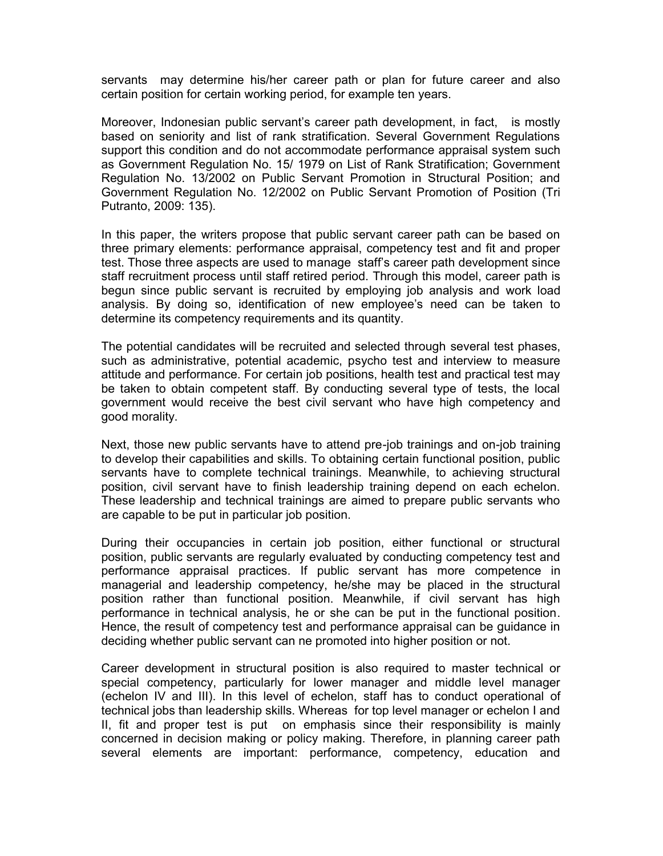servants may determine his/her career path or plan for future career and also certain position for certain working period, for example ten years.

Moreover, Indonesian public servant's career path development, in fact, is mostly based on seniority and list of rank stratification. Several Government Regulations support this condition and do not accommodate performance appraisal system such as Government Regulation No. 15/ 1979 on List of Rank Stratification; Government Regulation No. 13/2002 on Public Servant Promotion in Structural Position; and Government Regulation No. 12/2002 on Public Servant Promotion of Position (Tri Putranto, 2009: 135).

In this paper, the writers propose that public servant career path can be based on three primary elements: performance appraisal, competency test and fit and proper test. Those three aspects are used to manage staff's career path development since staff recruitment process until staff retired period. Through this model, career path is begun since public servant is recruited by employing job analysis and work load analysis. By doing so, identification of new employee's need can be taken to determine its competency requirements and its quantity.

The potential candidates will be recruited and selected through several test phases, such as administrative, potential academic, psycho test and interview to measure attitude and performance. For certain job positions, health test and practical test may be taken to obtain competent staff. By conducting several type of tests, the local government would receive the best civil servant who have high competency and good morality.

Next, those new public servants have to attend pre-job trainings and on-job training to develop their capabilities and skills. To obtaining certain functional position, public servants have to complete technical trainings. Meanwhile, to achieving structural position, civil servant have to finish leadership training depend on each echelon. These leadership and technical trainings are aimed to prepare public servants who are capable to be put in particular job position.

During their occupancies in certain job position, either functional or structural position, public servants are regularly evaluated by conducting competency test and performance appraisal practices. If public servant has more competence in managerial and leadership competency, he/she may be placed in the structural position rather than functional position. Meanwhile, if civil servant has high performance in technical analysis, he or she can be put in the functional position. Hence, the result of competency test and performance appraisal can be guidance in deciding whether public servant can ne promoted into higher position or not.

Career development in structural position is also required to master technical or special competency, particularly for lower manager and middle level manager (echelon IV and III). In this level of echelon, staff has to conduct operational of technical jobs than leadership skills. Whereas for top level manager or echelon I and II, fit and proper test is put on emphasis since their responsibility is mainly concerned in decision making or policy making. Therefore, in planning career path several elements are important: performance, competency, education and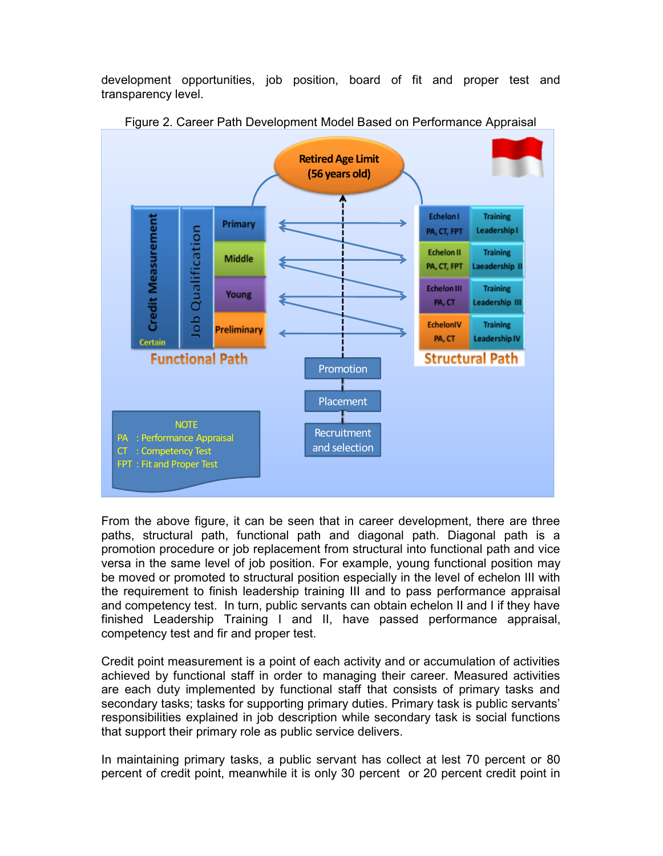development opportunities, job position, board of fit and proper test and transparency level.



Figure 2. Career Path Development Model Based on Performance Appraisal

From the above figure, it can be seen that in career development, there are three paths, structural path, functional path and diagonal path. Diagonal path is a promotion procedure or job replacement from structural into functional path and vice versa in the same level of job position. For example, young functional position may be moved or promoted to structural position especially in the level of echelon III with the requirement to finish leadership training III and to pass performance appraisal and competency test. In turn, public servants can obtain echelon II and I if they have finished Leadership Training I and II, have passed performance appraisal, competency test and fir and proper test.

Credit point measurement is a point of each activity and or accumulation of activities achieved by functional staff in order to managing their career. Measured activities are each duty implemented by functional staff that consists of primary tasks and secondary tasks; tasks for supporting primary duties. Primary task is public servants' responsibilities explained in job description while secondary task is social functions that support their primary role as public service delivers.

In maintaining primary tasks, a public servant has collect at lest 70 percent or 80 percent of credit point, meanwhile it is only 30 percent or 20 percent credit point in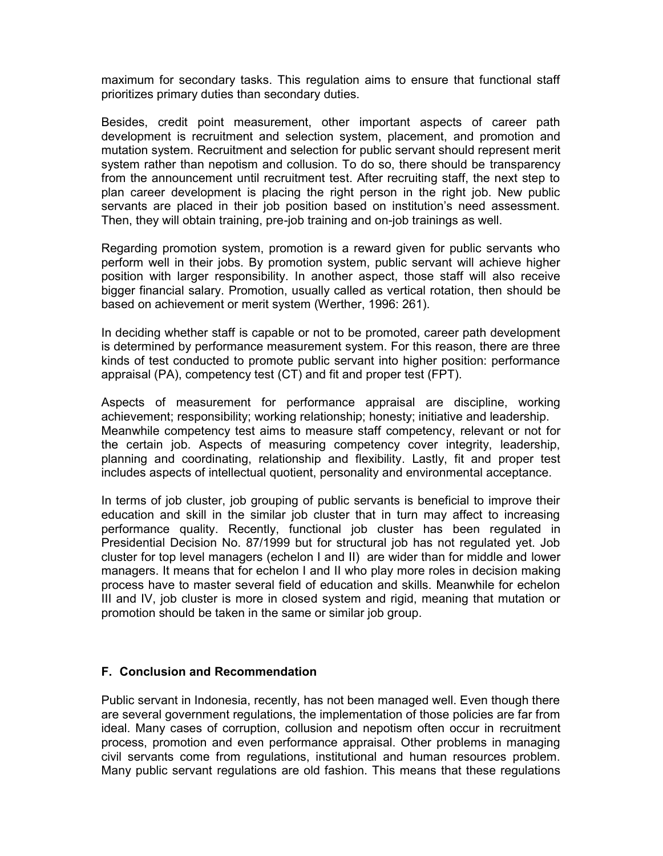maximum for secondary tasks. This regulation aims to ensure that functional staff prioritizes primary duties than secondary duties.

Besides, credit point measurement, other important aspects of career path development is recruitment and selection system, placement, and promotion and mutation system. Recruitment and selection for public servant should represent merit system rather than nepotism and collusion. To do so, there should be transparency from the announcement until recruitment test. After recruiting staff, the next step to plan career development is placing the right person in the right job. New public servants are placed in their job position based on institution's need assessment. Then, they will obtain training, pre-job training and on-job trainings as well.

Regarding promotion system, promotion is a reward given for public servants who perform well in their jobs. By promotion system, public servant will achieve higher position with larger responsibility. In another aspect, those staff will also receive bigger financial salary. Promotion, usually called as vertical rotation, then should be based on achievement or merit system (Werther, 1996: 261).

In deciding whether staff is capable or not to be promoted, career path development is determined by performance measurement system. For this reason, there are three kinds of test conducted to promote public servant into higher position: performance appraisal (PA), competency test (CT) and fit and proper test (FPT).

Aspects of measurement for performance appraisal are discipline, working achievement; responsibility; working relationship; honesty; initiative and leadership. Meanwhile competency test aims to measure staff competency, relevant or not for the certain job. Aspects of measuring competency cover integrity, leadership, planning and coordinating, relationship and flexibility. Lastly, fit and proper test includes aspects of intellectual quotient, personality and environmental acceptance.

In terms of job cluster, job grouping of public servants is beneficial to improve their education and skill in the similar job cluster that in turn may affect to increasing performance quality. Recently, functional job cluster has been regulated in Presidential Decision No. 87/1999 but for structural job has not regulated yet. Job cluster for top level managers (echelon I and II) are wider than for middle and lower managers. It means that for echelon I and II who play more roles in decision making process have to master several field of education and skills. Meanwhile for echelon III and IV, job cluster is more in closed system and rigid, meaning that mutation or promotion should be taken in the same or similar job group.

## **F. Conclusion and Recommendation**

Public servant in Indonesia, recently, has not been managed well. Even though there are several government regulations, the implementation of those policies are far from ideal. Many cases of corruption, collusion and nepotism often occur in recruitment process, promotion and even performance appraisal. Other problems in managing civil servants come from regulations, institutional and human resources problem. Many public servant regulations are old fashion. This means that these regulations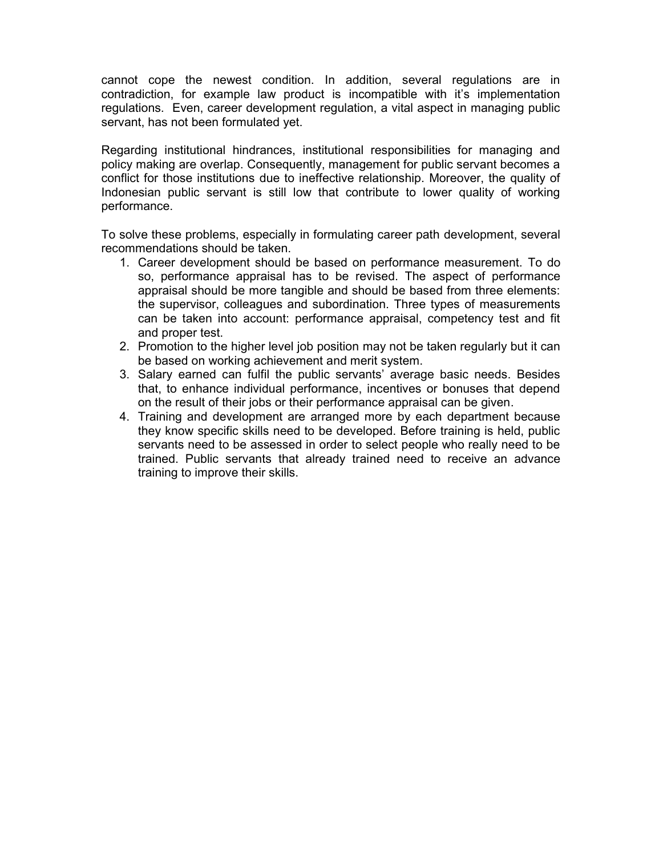cannot cope the newest condition. In addition, several regulations are in contradiction, for example law product is incompatible with it's implementation regulations. Even, career development regulation, a vital aspect in managing public servant, has not been formulated yet.

Regarding institutional hindrances, institutional responsibilities for managing and policy making are overlap. Consequently, management for public servant becomes a conflict for those institutions due to ineffective relationship. Moreover, the quality of Indonesian public servant is still low that contribute to lower quality of working performance.

To solve these problems, especially in formulating career path development, several recommendations should be taken.

- 1. Career development should be based on performance measurement. To do so, performance appraisal has to be revised. The aspect of performance appraisal should be more tangible and should be based from three elements: the supervisor, colleagues and subordination. Three types of measurements can be taken into account: performance appraisal, competency test and fit and proper test.
- 2. Promotion to the higher level job position may not be taken regularly but it can be based on working achievement and merit system.
- 3. Salary earned can fulfil the public servants' average basic needs. Besides that, to enhance individual performance, incentives or bonuses that depend on the result of their jobs or their performance appraisal can be given.
- 4. Training and development are arranged more by each department because they know specific skills need to be developed. Before training is held, public servants need to be assessed in order to select people who really need to be trained. Public servants that already trained need to receive an advance training to improve their skills.